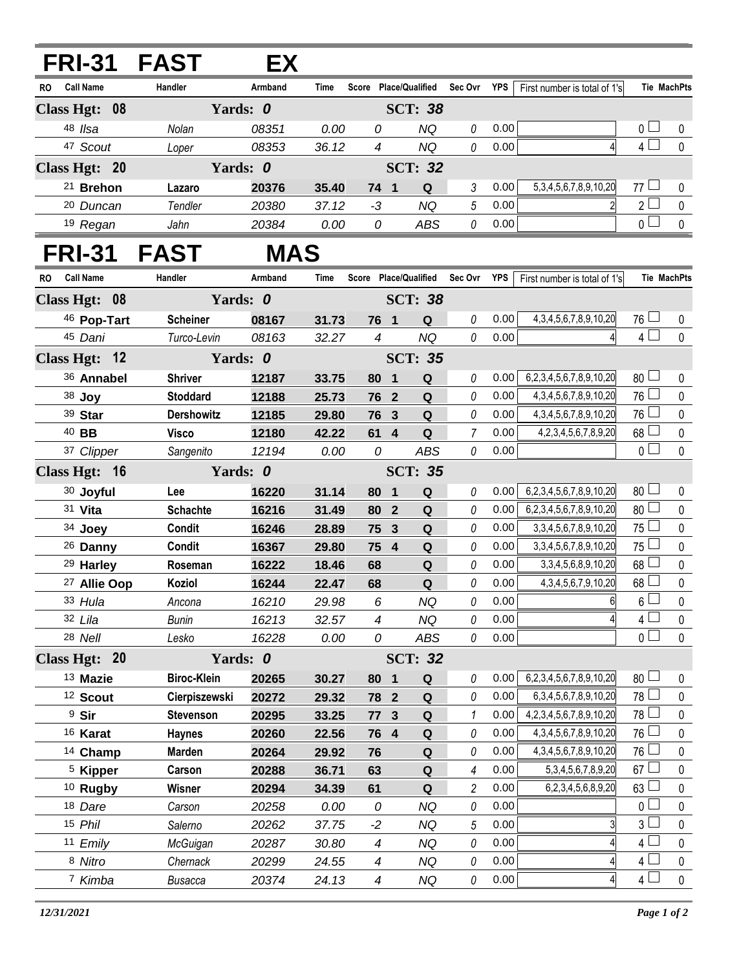## **FRI-31 FAST EX**

| <b>Call Name</b><br><b>RO</b> | <b>Handler</b> | Armband  | Time  | <b>Score</b> | Place/Qualified     | Sec Ovr | <b>YPS</b> | First number is total of 1's   |                                | Tie MachPts |
|-------------------------------|----------------|----------|-------|--------------|---------------------|---------|------------|--------------------------------|--------------------------------|-------------|
| Class Hgt: 08                 |                | Yards: 0 |       |              | <b>SCT: 38</b>      |         |            |                                |                                |             |
| 48 Ilsa                       | Nolan          | 08351    | 0.00  | 0            | ΝQ                  |         | 0.00       |                                |                                |             |
| <sup>47</sup> Scout           | Loper          | 08353    | 36.12 | 4            | ΝQ                  |         | 0.00       |                                | 4                              |             |
| Class Hgt: 20<br>Yards: 0     |                |          |       |              | <b>SCT: 32</b>      |         |            |                                |                                |             |
| <sup>21</sup> Brehon          | Lazaro         | 20376    | 35.40 | 74           | Q<br>$\blacksquare$ |         | 0.00       | 5, 3, 4, 5, 6, 7, 8, 9, 10, 20 | 77<br>$\overline{\phantom{a}}$ |             |
| <sup>20</sup> Duncan          | Tendler        | 20380    | 37.12 | -3           | ΝQ                  | 5       | 0.00       |                                | 2 <sub>1</sub>                 |             |
| 19<br>Regan                   | Jahn           | 20384    | 0.00  | 0            | ABS                 |         | 0.00       |                                |                                |             |

## **FRI-31 FAST MAS**

| <b>RO</b> | <b>Call Name</b> |                     | Handler            | Armband | <b>Time</b> |                          |                         | Score Place/Qualified Sec Ovr YPS |                |      | First number is total of 1's   |                 | Tie MachPts  |
|-----------|------------------|---------------------|--------------------|---------|-------------|--------------------------|-------------------------|-----------------------------------|----------------|------|--------------------------------|-----------------|--------------|
|           |                  | Class Hgt: 08       | Yards: 0           |         |             |                          |                         | <b>SCT: 38</b>                    |                |      |                                |                 |              |
|           |                  | 46 Pop-Tart         | <b>Scheiner</b>    | 08167   | 31.73       |                          | 76 1                    | Q                                 | 0              | 0.00 | 4, 3, 4, 5, 6, 7, 8, 9, 10, 20 | $76 \Box$       | $\mathbf{0}$ |
|           | 45 Dani          |                     | Turco-Levin        | 08163   | 32.27       | $\overline{4}$           |                         | <b>NQ</b>                         | 0              | 0.00 |                                | $4\Box$         | $\mathbf 0$  |
|           |                  | Class Hgt: 12       | Yards: 0           |         |             |                          |                         | <b>SCT: 35</b>                    |                |      |                                |                 |              |
|           |                  | 36 Annabel          | <b>Shriver</b>     | 12187   | 33.75       | 80                       | $\overline{\mathbf{1}}$ | $\mathbf Q$                       | 0              | 0.00 | 6,2,3,4,5,6,7,8,9,10,20        | $80$ $\Box$     | $\pmb{0}$    |
|           | 38 Joy           |                     | <b>Stoddard</b>    | 12188   | 25.73       |                          | 76 2                    | Q                                 | 0              | 0.00 | 4, 3, 4, 5, 6, 7, 8, 9, 10, 20 | $76 \Box$       | 0            |
|           | 39 Star          |                     | <b>Dershowitz</b>  | 12185   | 29.80       |                          | 76 3                    | Q                                 | $\Omega$       | 0.00 | 4, 3, 4, 5, 6, 7, 8, 9, 10, 20 | 76 L            | $\mathbf 0$  |
|           | 40 BB            |                     | <b>Visco</b>       | 12180   | 42.22       |                          | $61$ 4                  | Q                                 | 7              | 0.00 | 4, 2, 3, 4, 5, 6, 7, 8, 9, 20  | 68              | $\pmb{0}$    |
|           |                  | 37 Clipper          | Sangenito          | 12194   | 0.00        | 0                        |                         | <b>ABS</b>                        | $\it{0}$       | 0.00 |                                | $\overline{0}$  | $\mathbf 0$  |
|           |                  | Class Hgt: 16       | Yards: 0           |         |             |                          |                         | <b>SCT: 35</b>                    |                |      |                                |                 |              |
|           |                  | 30 Joyful           | Lee                | 16220   | 31.14       | 80                       | $\blacksquare$          | Q                                 | 0              | 0.00 | 6,2,3,4,5,6,7,8,9,10,20        | 80              | $\mathbf 0$  |
|           | 31 Vita          |                     | <b>Schachte</b>    | 16216   | 31.49       |                          | 80 2                    | Q                                 | 0              | 0.00 | 6,2,3,4,5,6,7,8,9,10,20        | 80 <sup>1</sup> | $\mathbf 0$  |
|           | 34 Joey          |                     | Condit             | 16246   | 28.89       |                          | 75 3                    | $\mathbf Q$                       | 0              | 0.00 | 3, 3, 4, 5, 6, 7, 8, 9, 10, 20 | 75              | $\pmb{0}$    |
|           |                  | 26 Danny            | Condit             | 16367   | 29.80       |                          | 75 4                    | Q                                 | 0              | 0.00 | 3, 3, 4, 5, 6, 7, 8, 9, 10, 20 | 75 L            | 0            |
|           |                  | 29 Harley           | Roseman            | 16222   | 18.46       | 68                       |                         | $\mathbf Q$                       | 0              | 0.00 | 3, 3, 4, 5, 6, 8, 9, 10, 20    | 68              | $\pmb{0}$    |
|           |                  | 27 Allie Oop        | Koziol             | 16244   | 22.47       | 68                       |                         | Q                                 | $\Omega$       | 0.00 | 4, 3, 4, 5, 6, 7, 9, 10, 20    | 68              | $\mathbf 0$  |
|           | 33 Hula          |                     | Ancona             | 16210   | 29.98       | 6                        |                         | <b>NQ</b>                         | 0              | 0.00 | 6                              | $6\Box$         | $\pmb{0}$    |
|           | 32 Lila          |                     | <b>Bunin</b>       | 16213   | 32.57       | $\overline{4}$           |                         | <b>NQ</b>                         | $\theta$       | 0.00 | $\overline{4}$                 | $4\Box$         | $\pmb{0}$    |
|           | 28 Nell          |                     | Lesko              | 16228   | 0.00        | 0                        |                         | <b>ABS</b>                        | 0              | 0.00 |                                | 0 <sub>1</sub>  | 0            |
|           |                  | Class Hgt: 20       | Yards: 0           |         |             | <b>SCT: 32</b>           |                         |                                   |                |      |                                |                 |              |
|           |                  | 13 Mazie            | <b>Biroc-Klein</b> | 20265   | 30.27       | 80                       | $\overline{\mathbf{1}}$ | Q                                 | 0              | 0.00 | 6,2,3,4,5,6,7,8,9,10,20        | 80 <sup>2</sup> | 0            |
|           |                  | 12 Scout            | Cierpiszewski      | 20272   | 29.32       |                          | 78 2                    | Q                                 | 0              | 0.00 | 6, 3, 4, 5, 6, 7, 8, 9, 10, 20 | $78$ $-$        | $\pmb{0}$    |
|           | <sup>9</sup> Sir |                     | <b>Stevenson</b>   | 20295   | 33.25       | 77                       | $\mathbf{3}$            | Q                                 | 1              | 0.00 | 4,2,3,4,5,6,7,8,9,10,20        | 78              | $\mathbf 0$  |
|           |                  | 16 Karat            | <b>Haynes</b>      | 20260   | 22.56       |                          | 76 4                    | Q                                 | 0              | 0.00 | 4, 3, 4, 5, 6, 7, 8, 9, 10, 20 | $76 \Box$       | $\pmb{0}$    |
|           |                  | 14 Champ            | <b>Marden</b>      | 20264   | 29.92       | 76                       |                         | Q                                 | 0              | 0.00 | 4, 3, 4, 5, 6, 7, 8, 9, 10, 20 | 76 L            | $\pmb{0}$    |
|           |                  | <sup>5</sup> Kipper | Carson             | 20288   | 36.71       | 63                       |                         | ${\bf Q}$                         | 4              | 0.00 | 5, 3, 4, 5, 6, 7, 8, 9, 20     | $67 \perp$      | $\pmb{0}$    |
|           |                  | <sup>10</sup> Rugby | Wisner             | 20294   | 34.39       | 61                       |                         | $\pmb{\mathsf{Q}}$                | $\overline{c}$ | 0.00 | 6,2,3,4,5,6,8,9,20             | 63              | $\pmb{0}$    |
|           | 18 Dare          |                     | Carson             | 20258   | 0.00        | 0                        |                         | <b>NQ</b>                         | 0              | 0.00 |                                | 0               | $\mathbf 0$  |
|           | 15 Phil          |                     | Salerno            | 20262   | 37.75       | $-2$                     |                         | <b>NQ</b>                         | 5              | 0.00 | $\overline{3}$                 | 3 <sub>1</sub>  | $\mathbf 0$  |
|           |                  | 11 Emily            | McGuigan           | 20287   | 30.80       | $\overline{\mathcal{A}}$ |                         | <b>NQ</b>                         | 0              | 0.00 | $\frac{4}{3}$                  | 4 $\Box$        | $\pmb{0}$    |
|           |                  | 8 Nitro             | Chernack           | 20299   | 24.55       | $\overline{\mathcal{A}}$ |                         | <b>NQ</b>                         | $\Omega$       | 0.00 | 4                              | 4 <sup>L</sup>  | $\pmb{0}$    |
|           |                  | 7 Kimba             | <b>Busacca</b>     | 20374   | 24.13       | $\overline{\mathcal{A}}$ |                         | <b>NQ</b>                         | 0              | 0.00 | $\overline{4}$                 | $4\Box$         | $\mathbf 0$  |